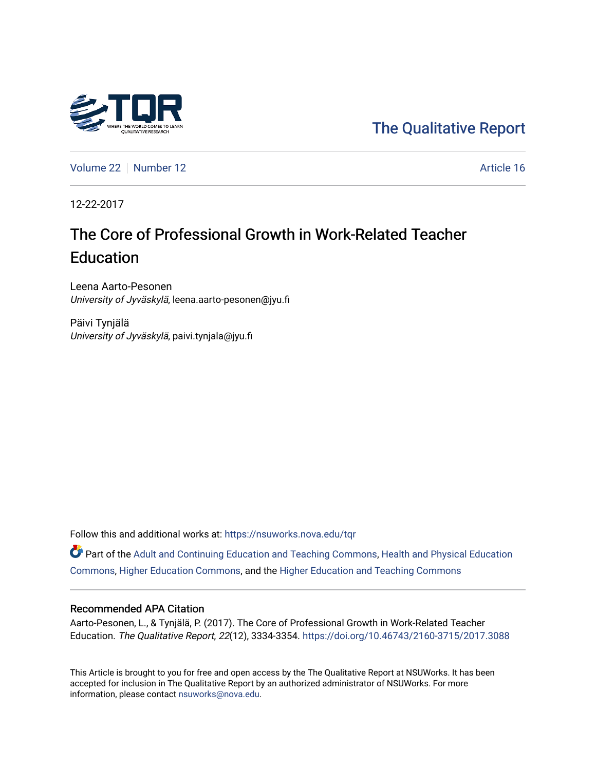

[The Qualitative Report](https://nsuworks.nova.edu/tqr) 

[Volume 22](https://nsuworks.nova.edu/tqr/vol22) [Number 12](https://nsuworks.nova.edu/tqr/vol22/iss12) Article 16

12-22-2017

# The Core of Professional Growth in Work-Related Teacher **Education**

Leena Aarto-Pesonen University of Jyväskylä, leena.aarto-pesonen@jyu.fi

Päivi Tynjälä University of Jyväskylä, paivi.tynjala@jyu.fi

Follow this and additional works at: [https://nsuworks.nova.edu/tqr](https://nsuworks.nova.edu/tqr?utm_source=nsuworks.nova.edu%2Ftqr%2Fvol22%2Fiss12%2F16&utm_medium=PDF&utm_campaign=PDFCoverPages) 

Part of the [Adult and Continuing Education and Teaching Commons,](http://network.bepress.com/hgg/discipline/804?utm_source=nsuworks.nova.edu%2Ftqr%2Fvol22%2Fiss12%2F16&utm_medium=PDF&utm_campaign=PDFCoverPages) [Health and Physical Education](http://network.bepress.com/hgg/discipline/1327?utm_source=nsuworks.nova.edu%2Ftqr%2Fvol22%2Fiss12%2F16&utm_medium=PDF&utm_campaign=PDFCoverPages)  [Commons](http://network.bepress.com/hgg/discipline/1327?utm_source=nsuworks.nova.edu%2Ftqr%2Fvol22%2Fiss12%2F16&utm_medium=PDF&utm_campaign=PDFCoverPages), [Higher Education Commons](http://network.bepress.com/hgg/discipline/1245?utm_source=nsuworks.nova.edu%2Ftqr%2Fvol22%2Fiss12%2F16&utm_medium=PDF&utm_campaign=PDFCoverPages), and the [Higher Education and Teaching Commons](http://network.bepress.com/hgg/discipline/806?utm_source=nsuworks.nova.edu%2Ftqr%2Fvol22%2Fiss12%2F16&utm_medium=PDF&utm_campaign=PDFCoverPages)

#### Recommended APA Citation

Aarto-Pesonen, L., & Tynjälä, P. (2017). The Core of Professional Growth in Work-Related Teacher Education. The Qualitative Report, 22(12), 3334-3354. <https://doi.org/10.46743/2160-3715/2017.3088>

This Article is brought to you for free and open access by the The Qualitative Report at NSUWorks. It has been accepted for inclusion in The Qualitative Report by an authorized administrator of NSUWorks. For more information, please contact [nsuworks@nova.edu.](mailto:nsuworks@nova.edu)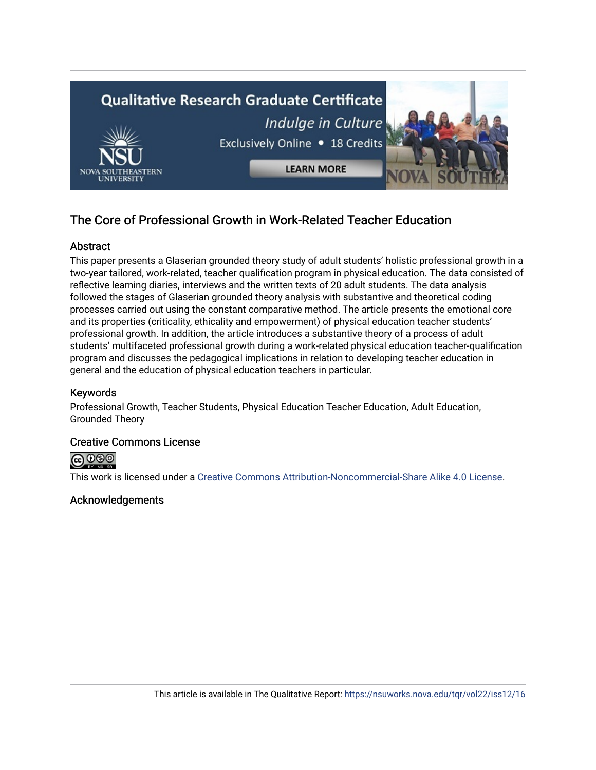

# The Core of Professional Growth in Work-Related Teacher Education

# **Abstract**

This paper presents a Glaserian grounded theory study of adult students' holistic professional growth in a two-year tailored, work-related, teacher qualification program in physical education. The data consisted of reflective learning diaries, interviews and the written texts of 20 adult students. The data analysis followed the stages of Glaserian grounded theory analysis with substantive and theoretical coding processes carried out using the constant comparative method. The article presents the emotional core and its properties (criticality, ethicality and empowerment) of physical education teacher students' professional growth. In addition, the article introduces a substantive theory of a process of adult students' multifaceted professional growth during a work-related physical education teacher-qualification program and discusses the pedagogical implications in relation to developing teacher education in general and the education of physical education teachers in particular.

# Keywords

Professional Growth, Teacher Students, Physical Education Teacher Education, Adult Education, Grounded Theory

# Creative Commons License



This work is licensed under a [Creative Commons Attribution-Noncommercial-Share Alike 4.0 License](https://creativecommons.org/licenses/by-nc-sa/4.0/).

# Acknowledgements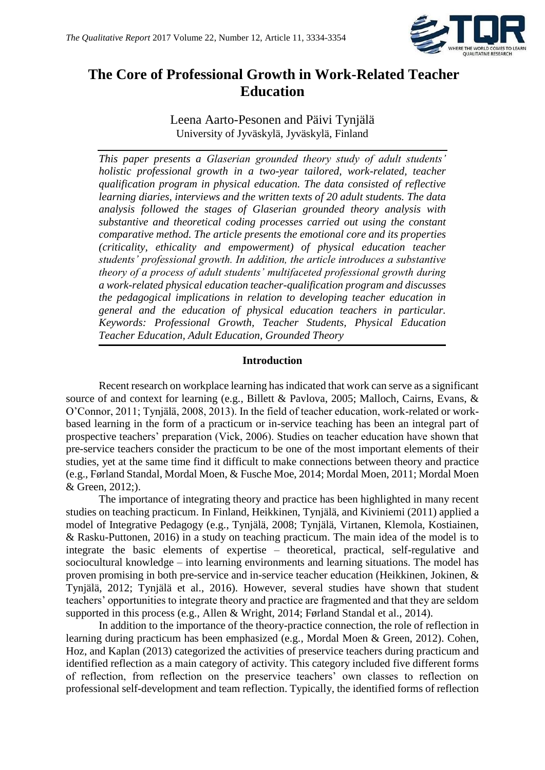

# **The Core of Professional Growth in Work-Related Teacher Education**

Leena Aarto-Pesonen and Päivi Tynjälä University of Jyväskylä, Jyväskylä, Finland

*This paper presents a Glaserian grounded theory study of adult students' holistic professional growth in a two-year tailored, work-related, teacher qualification program in physical education. The data consisted of reflective learning diaries, interviews and the written texts of 20 adult students. The data analysis followed the stages of Glaserian grounded theory analysis with substantive and theoretical coding processes carried out using the constant comparative method. The article presents the emotional core and its properties (criticality, ethicality and empowerment) of physical education teacher students' professional growth. In addition, the article introduces a substantive theory of a process of adult students' multifaceted professional growth during a work-related physical education teacher-qualification program and discusses the pedagogical implications in relation to developing teacher education in general and the education of physical education teachers in particular. Keywords: Professional Growth, Teacher Students, Physical Education Teacher Education, Adult Education, Grounded Theory*

### **Introduction**

Recent research on workplace learning has indicated that work can serve as a significant source of and context for learning (e.g., Billett & Pavlova, 2005; Malloch, Cairns, Evans, & O'Connor, 2011; Tynjälä, 2008, 2013). In the field of teacher education, work-related or workbased learning in the form of a practicum or in-service teaching has been an integral part of prospective teachers' preparation (Vick, 2006). Studies on teacher education have shown that pre-service teachers consider the practicum to be one of the most important elements of their studies, yet at the same time find it difficult to make connections between theory and practice (e.g., Førland Standal, Mordal Moen, & Fusche Moe, 2014; Mordal Moen, 2011; Mordal Moen & Green, 2012;).

The importance of integrating theory and practice has been highlighted in many recent studies on teaching practicum. In Finland, Heikkinen, Tynjälä, and Kiviniemi (2011) applied a model of Integrative Pedagogy (e.g., Tynjälä, 2008; Tynjälä, Virtanen, Klemola, Kostiainen, & Rasku-Puttonen, 2016) in a study on teaching practicum. The main idea of the model is to integrate the basic elements of expertise – theoretical, practical, self-regulative and sociocultural knowledge – into learning environments and learning situations. The model has proven promising in both pre-service and in-service teacher education (Heikkinen, Jokinen, & Tynjälä, 2012; Tynjälä et al., 2016). However, several studies have shown that student teachers' opportunities to integrate theory and practice are fragmented and that they are seldom supported in this process (e.g., Allen & Wright, 2014; Førland Standal et al., 2014).

In addition to the importance of the theory-practice connection, the role of reflection in learning during practicum has been emphasized (e.g., Mordal Moen & Green, 2012). Cohen, Hoz, and Kaplan (2013) categorized the activities of preservice teachers during practicum and identified reflection as a main category of activity. This category included five different forms of reflection, from reflection on the preservice teachers' own classes to reflection on professional self-development and team reflection. Typically, the identified forms of reflection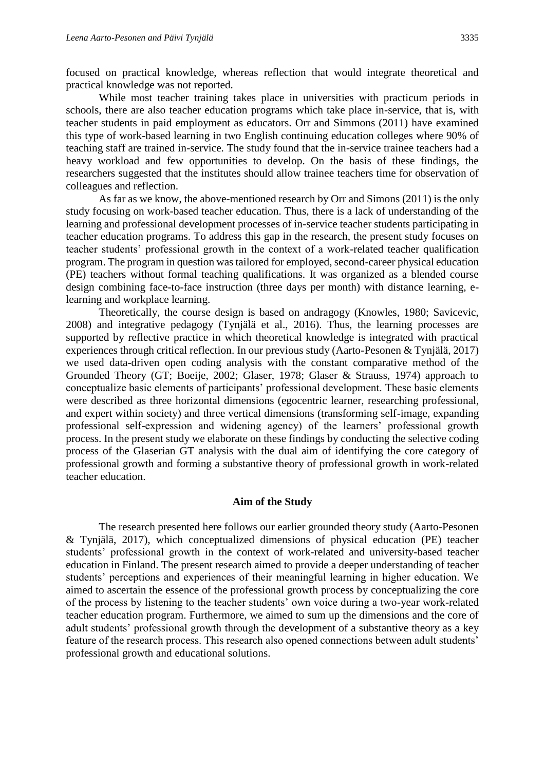focused on practical knowledge, whereas reflection that would integrate theoretical and practical knowledge was not reported.

While most teacher training takes place in universities with practicum periods in schools, there are also teacher education programs which take place in-service, that is, with teacher students in paid employment as educators. Orr and Simmons (2011) have examined this type of work-based learning in two English continuing education colleges where 90% of teaching staff are trained in-service. The study found that the in-service trainee teachers had a heavy workload and few opportunities to develop. On the basis of these findings, the researchers suggested that the institutes should allow trainee teachers time for observation of colleagues and reflection.

As far as we know, the above-mentioned research by Orr and Simons (2011) is the only study focusing on work-based teacher education. Thus, there is a lack of understanding of the learning and professional development processes of in-service teacher students participating in teacher education programs. To address this gap in the research, the present study focuses on teacher students' professional growth in the context of a work-related teacher qualification program. The program in question was tailored for employed, second-career physical education (PE) teachers without formal teaching qualifications. It was organized as a blended course design combining face-to-face instruction (three days per month) with distance learning, elearning and workplace learning.

Theoretically, the course design is based on andragogy (Knowles, 1980; Savicevic, 2008) and integrative pedagogy (Tynjälä et al., 2016). Thus, the learning processes are supported by reflective practice in which theoretical knowledge is integrated with practical experiences through critical reflection. In our previous study (Aarto-Pesonen & Tynjälä, 2017) we used data-driven open coding analysis with the constant comparative method of the Grounded Theory (GT; Boeije, 2002; Glaser, 1978; Glaser & Strauss, 1974) approach to conceptualize basic elements of participants' professional development. These basic elements were described as three horizontal dimensions (egocentric learner, researching professional, and expert within society) and three vertical dimensions (transforming self-image, expanding professional self-expression and widening agency) of the learners' professional growth process. In the present study we elaborate on these findings by conducting the selective coding process of the Glaserian GT analysis with the dual aim of identifying the core category of professional growth and forming a substantive theory of professional growth in work-related teacher education.

#### **Aim of the Study**

The research presented here follows our earlier grounded theory study (Aarto-Pesonen & Tynjälä, 2017), which conceptualized dimensions of physical education (PE) teacher students' professional growth in the context of work-related and university-based teacher education in Finland. The present research aimed to provide a deeper understanding of teacher students' perceptions and experiences of their meaningful learning in higher education. We aimed to ascertain the essence of the professional growth process by conceptualizing the core of the process by listening to the teacher students' own voice during a two-year work-related teacher education program. Furthermore, we aimed to sum up the dimensions and the core of adult students' professional growth through the development of a substantive theory as a key feature of the research process. This research also opened connections between adult students' professional growth and educational solutions.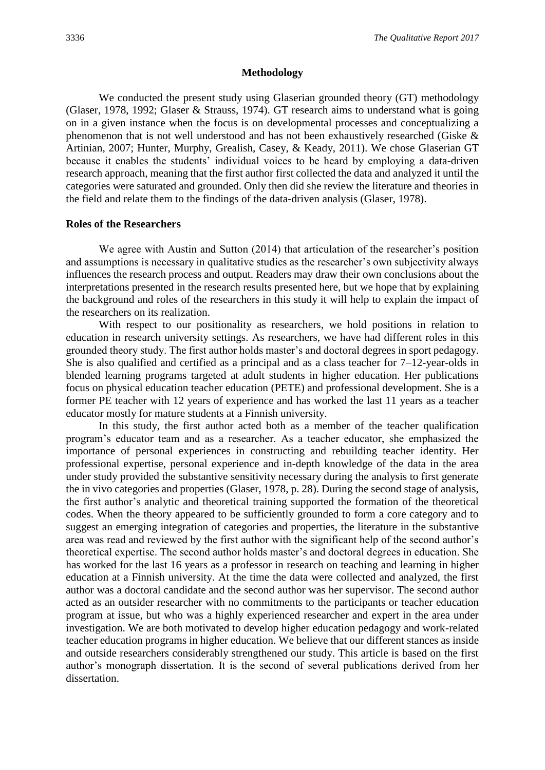#### **Methodology**

We conducted the present study using Glaserian grounded theory (GT) methodology (Glaser, 1978, 1992; Glaser & Strauss, 1974). GT research aims to understand what is going on in a given instance when the focus is on developmental processes and conceptualizing a phenomenon that is not well understood and has not been exhaustively researched (Giske & Artinian, 2007; Hunter, Murphy, Grealish, Casey, & Keady, 2011). We chose Glaserian GT because it enables the students' individual voices to be heard by employing a data-driven research approach, meaning that the first author first collected the data and analyzed it until the categories were saturated and grounded. Only then did she review the literature and theories in the field and relate them to the findings of the data-driven analysis (Glaser, 1978).

#### **Roles of the Researchers**

We agree with Austin and Sutton (2014) that articulation of the researcher's position and assumptions is necessary in qualitative studies as the researcher's own subjectivity always influences the research process and output. Readers may draw their own conclusions about the interpretations presented in the research results presented here, but we hope that by explaining the background and roles of the researchers in this study it will help to explain the impact of the researchers on its realization.

With respect to our positionality as researchers, we hold positions in relation to education in research university settings. As researchers, we have had different roles in this grounded theory study. The first author holds master's and doctoral degrees in sport pedagogy. She is also qualified and certified as a principal and as a class teacher for  $7-12$ -year-olds in blended learning programs targeted at adult students in higher education. Her publications focus on physical education teacher education (PETE) and professional development. She is a former PE teacher with 12 years of experience and has worked the last 11 years as a teacher educator mostly for mature students at a Finnish university.

In this study, the first author acted both as a member of the teacher qualification program's educator team and as a researcher. As a teacher educator, she emphasized the importance of personal experiences in constructing and rebuilding teacher identity. Her professional expertise, personal experience and in-depth knowledge of the data in the area under study provided the substantive sensitivity necessary during the analysis to first generate the in vivo categories and properties (Glaser, 1978, p. 28). During the second stage of analysis, the first author's analytic and theoretical training supported the formation of the theoretical codes. When the theory appeared to be sufficiently grounded to form a core category and to suggest an emerging integration of categories and properties, the literature in the substantive area was read and reviewed by the first author with the significant help of the second author's theoretical expertise. The second author holds master's and doctoral degrees in education. She has worked for the last 16 years as a professor in research on teaching and learning in higher education at a Finnish university. At the time the data were collected and analyzed, the first author was a doctoral candidate and the second author was her supervisor. The second author acted as an outsider researcher with no commitments to the participants or teacher education program at issue, but who was a highly experienced researcher and expert in the area under investigation. We are both motivated to develop higher education pedagogy and work-related teacher education programs in higher education. We believe that our different stances as inside and outside researchers considerably strengthened our study. This article is based on the first author's monograph dissertation. It is the second of several publications derived from her dissertation.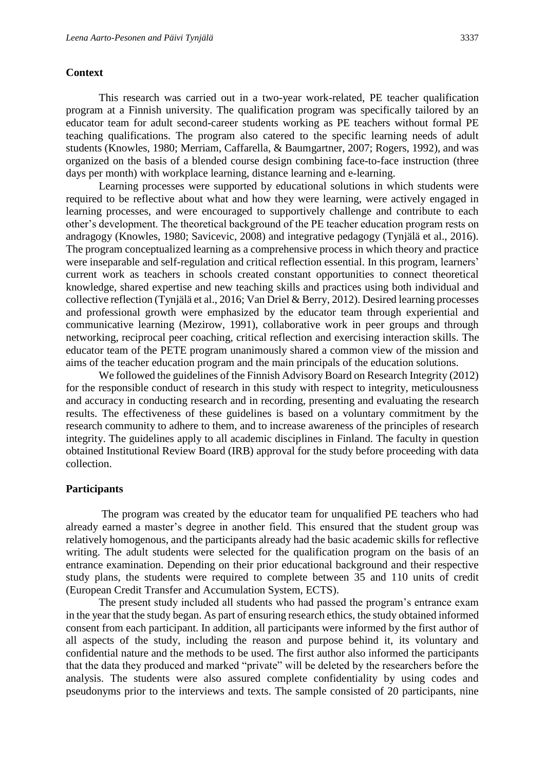#### **Context**

This research was carried out in a two-year work-related, PE teacher qualification program at a Finnish university. The qualification program was specifically tailored by an educator team for adult second-career students working as PE teachers without formal PE teaching qualifications. The program also catered to the specific learning needs of adult students (Knowles, 1980; Merriam, Caffarella, & Baumgartner, 2007; Rogers, 1992), and was organized on the basis of a blended course design combining face-to-face instruction (three days per month) with workplace learning, distance learning and e-learning.

Learning processes were supported by educational solutions in which students were required to be reflective about what and how they were learning, were actively engaged in learning processes, and were encouraged to supportively challenge and contribute to each other's development. The theoretical background of the PE teacher education program rests on andragogy (Knowles, 1980; Savicevic, 2008) and integrative pedagogy (Tynjälä et al., 2016). The program conceptualized learning as a comprehensive process in which theory and practice were inseparable and self-regulation and critical reflection essential. In this program, learners' current work as teachers in schools created constant opportunities to connect theoretical knowledge, shared expertise and new teaching skills and practices using both individual and collective reflection (Tynjälä et al., 2016; Van Driel & Berry, 2012). Desired learning processes and professional growth were emphasized by the educator team through experiential and communicative learning (Mezirow, 1991), collaborative work in peer groups and through networking, reciprocal peer coaching, critical reflection and exercising interaction skills. The educator team of the PETE program unanimously shared a common view of the mission and aims of the teacher education program and the main principals of the education solutions.

We followed the guidelines of the Finnish Advisory Board on Research Integrity (2012) for the responsible conduct of research in this study with respect to integrity, meticulousness and accuracy in conducting research and in recording, presenting and evaluating the research results. The effectiveness of these guidelines is based on a voluntary commitment by the research community to adhere to them, and to increase awareness of the principles of research integrity. The guidelines apply to all academic disciplines in Finland. The faculty in question obtained Institutional Review Board (IRB) approval for the study before proceeding with data collection.

#### **Participants**

The program was created by the educator team for unqualified PE teachers who had already earned a master's degree in another field. This ensured that the student group was relatively homogenous, and the participants already had the basic academic skills for reflective writing. The adult students were selected for the qualification program on the basis of an entrance examination. Depending on their prior educational background and their respective study plans, the students were required to complete between 35 and 110 units of credit (European Credit Transfer and Accumulation System, ECTS).

The present study included all students who had passed the program's entrance exam in the year that the study began. As part of ensuring research ethics, the study obtained informed consent from each participant. In addition, all participants were informed by the first author of all aspects of the study, including the reason and purpose behind it, its voluntary and confidential nature and the methods to be used. The first author also informed the participants that the data they produced and marked "private" will be deleted by the researchers before the analysis. The students were also assured complete confidentiality by using codes and pseudonyms prior to the interviews and texts. The sample consisted of 20 participants, nine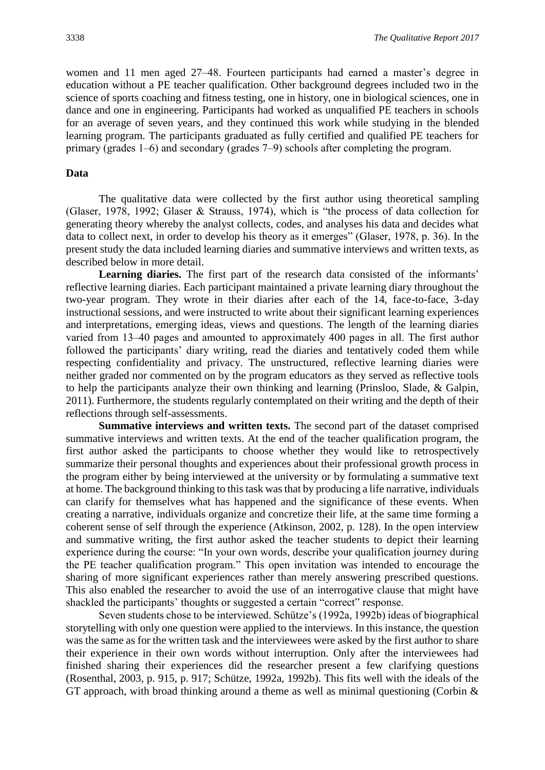women and 11 men aged 27–48. Fourteen participants had earned a master's degree in education without a PE teacher qualification. Other background degrees included two in the science of sports coaching and fitness testing, one in history, one in biological sciences, one in dance and one in engineering. Participants had worked as unqualified PE teachers in schools for an average of seven years, and they continued this work while studying in the blended learning program. The participants graduated as fully certified and qualified PE teachers for primary (grades 1‒6) and secondary (grades 7‒9) schools after completing the program.

#### **Data**

The qualitative data were collected by the first author using theoretical sampling (Glaser, 1978, 1992; Glaser & Strauss, 1974), which is "the process of data collection for generating theory whereby the analyst collects, codes, and analyses his data and decides what data to collect next, in order to develop his theory as it emerges" (Glaser, 1978, p. 36). In the present study the data included learning diaries and summative interviews and written texts, as described below in more detail.

Learning diaries. The first part of the research data consisted of the informants' reflective learning diaries. Each participant maintained a private learning diary throughout the two-year program. They wrote in their diaries after each of the 14, face-to-face, 3-day instructional sessions, and were instructed to write about their significant learning experiences and interpretations, emerging ideas, views and questions. The length of the learning diaries varied from 13–40 pages and amounted to approximately 400 pages in all. The first author followed the participants' diary writing, read the diaries and tentatively coded them while respecting confidentiality and privacy. The unstructured, reflective learning diaries were neither graded nor commented on by the program educators as they served as reflective tools to help the participants analyze their own thinking and learning (Prinsloo, Slade, & Galpin, 2011). Furthermore, the students regularly contemplated on their writing and the depth of their reflections through self-assessments.

**Summative interviews and written texts.** The second part of the dataset comprised summative interviews and written texts. At the end of the teacher qualification program, the first author asked the participants to choose whether they would like to retrospectively summarize their personal thoughts and experiences about their professional growth process in the program either by being interviewed at the university or by formulating a summative text at home. The background thinking to this task was that by producing a life narrative, individuals can clarify for themselves what has happened and the significance of these events. When creating a narrative, individuals organize and concretize their life, at the same time forming a coherent sense of self through the experience (Atkinson, 2002, p. 128). In the open interview and summative writing, the first author asked the teacher students to depict their learning experience during the course: "In your own words, describe your qualification journey during the PE teacher qualification program." This open invitation was intended to encourage the sharing of more significant experiences rather than merely answering prescribed questions. This also enabled the researcher to avoid the use of an interrogative clause that might have shackled the participants' thoughts or suggested a certain "correct" response.

Seven students chose to be interviewed. Schütze's (1992a, 1992b) ideas of biographical storytelling with only one question were applied to the interviews. In this instance, the question was the same as for the written task and the interviewees were asked by the first author to share their experience in their own words without interruption. Only after the interviewees had finished sharing their experiences did the researcher present a few clarifying questions (Rosenthal, 2003, p. 915, p. 917; Schütze, 1992a, 1992b). This fits well with the ideals of the GT approach, with broad thinking around a theme as well as minimal questioning (Corbin  $\&$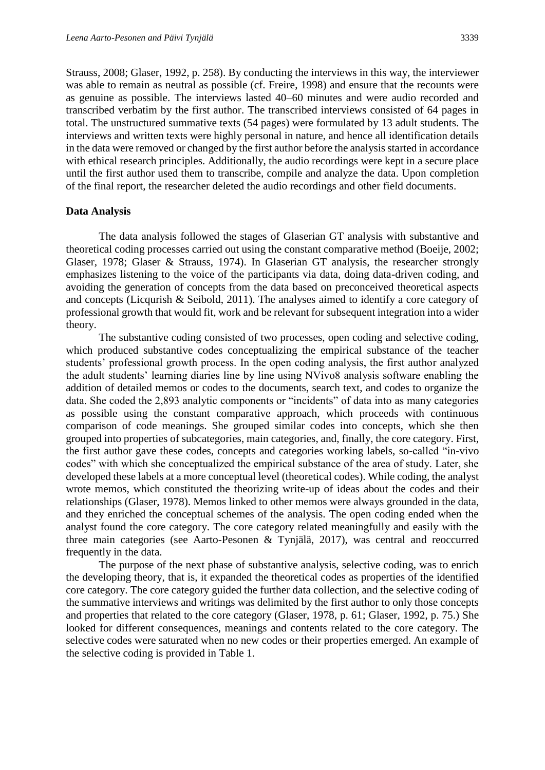Strauss, 2008; Glaser, 1992, p. 258). By conducting the interviews in this way, the interviewer was able to remain as neutral as possible (cf. Freire, 1998) and ensure that the recounts were as genuine as possible. The interviews lasted 40–60 minutes and were audio recorded and transcribed verbatim by the first author. The transcribed interviews consisted of 64 pages in total. The unstructured summative texts (54 pages) were formulated by 13 adult students. The interviews and written texts were highly personal in nature, and hence all identification details in the data were removed or changed by the first author before the analysis started in accordance with ethical research principles. Additionally, the audio recordings were kept in a secure place until the first author used them to transcribe, compile and analyze the data. Upon completion of the final report, the researcher deleted the audio recordings and other field documents.

#### **Data Analysis**

The data analysis followed the stages of Glaserian GT analysis with substantive and theoretical coding processes carried out using the constant comparative method (Boeije, 2002; Glaser, 1978; Glaser & Strauss, 1974). In Glaserian GT analysis, the researcher strongly emphasizes listening to the voice of the participants via data, doing data-driven coding, and avoiding the generation of concepts from the data based on preconceived theoretical aspects and concepts (Licqurish & Seibold, 2011). The analyses aimed to identify a core category of professional growth that would fit, work and be relevant for subsequent integration into a wider theory.

The substantive coding consisted of two processes, open coding and selective coding, which produced substantive codes conceptualizing the empirical substance of the teacher students' professional growth process. In the open coding analysis, the first author analyzed the adult students' learning diaries line by line using NVivo8 analysis software enabling the addition of detailed memos or codes to the documents, search text, and codes to organize the data. She coded the 2,893 analytic components or "incidents" of data into as many categories as possible using the constant comparative approach, which proceeds with continuous comparison of code meanings. She grouped similar codes into concepts, which she then grouped into properties of subcategories, main categories, and, finally, the core category. First, the first author gave these codes, concepts and categories working labels, so-called "in-vivo codes" with which she conceptualized the empirical substance of the area of study. Later, she developed these labels at a more conceptual level (theoretical codes). While coding, the analyst wrote memos, which constituted the theorizing write-up of ideas about the codes and their relationships (Glaser, 1978). Memos linked to other memos were always grounded in the data, and they enriched the conceptual schemes of the analysis. The open coding ended when the analyst found the core category. The core category related meaningfully and easily with the three main categories (see Aarto-Pesonen & Tynjälä, 2017), was central and reoccurred frequently in the data.

The purpose of the next phase of substantive analysis, selective coding, was to enrich the developing theory, that is, it expanded the theoretical codes as properties of the identified core category. The core category guided the further data collection, and the selective coding of the summative interviews and writings was delimited by the first author to only those concepts and properties that related to the core category (Glaser, 1978, p. 61; Glaser, 1992, p. 75.) She looked for different consequences, meanings and contents related to the core category. The selective codes were saturated when no new codes or their properties emerged. An example of the selective coding is provided in Table 1.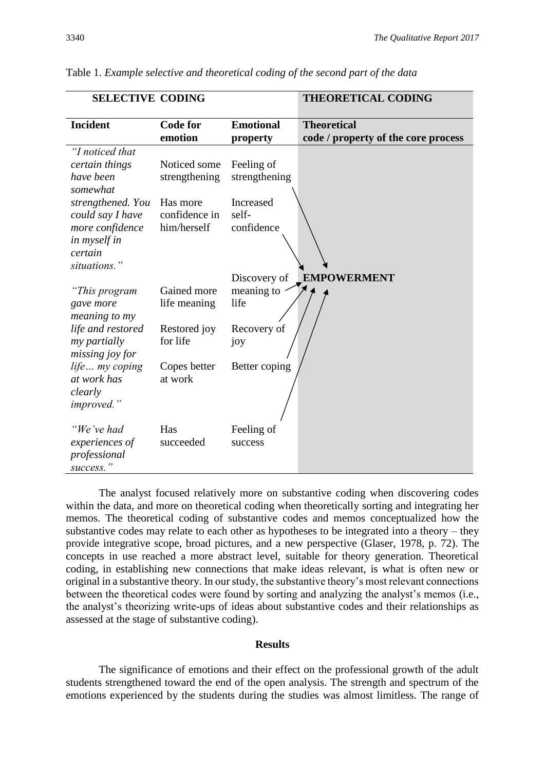| <b>SELECTIVE CODING</b>                                                                             |                                          |                                  | <b>THEORETICAL CODING</b>                                 |
|-----------------------------------------------------------------------------------------------------|------------------------------------------|----------------------------------|-----------------------------------------------------------|
| Incident                                                                                            | <b>Code for</b><br>emotion               | <b>Emotional</b><br>property     | <b>Theoretical</b><br>code / property of the core process |
| "I noticed that<br>certain things<br>have been<br>somewhat                                          | Noticed some<br>strengthening            | Feeling of<br>strengthening      |                                                           |
| strengthened. You<br>could say I have<br>more confidence<br>in myself in<br>certain<br>situations." | Has more<br>confidence in<br>him/herself | Increased<br>self-<br>confidence |                                                           |
|                                                                                                     |                                          | Discovery of                     | <b>EMPOWERMENT</b>                                        |
| "This program<br>gave more<br>meaning to my                                                         | Gained more<br>life meaning              | meaning to<br>life               |                                                           |
| life and restored<br>my partially<br>missing joy for                                                | Restored joy<br>for life                 | Recovery of<br>joy               |                                                           |
| life my coping<br>at work has<br>clearly<br><i>improved.</i> "                                      | Copes better<br>at work                  | Better coping                    |                                                           |
| "We've had<br>experiences of<br>professional                                                        | Has<br>succeeded                         | Feeling of<br>success            |                                                           |

Table 1. *Example selective and theoretical coding of the second part of the data*

The analyst focused relatively more on substantive coding when discovering codes within the data, and more on theoretical coding when theoretically sorting and integrating her memos. The theoretical coding of substantive codes and memos conceptualized how the substantive codes may relate to each other as hypotheses to be integrated into a theory – they provide integrative scope, broad pictures, and a new perspective (Glaser, 1978, p. 72). The concepts in use reached a more abstract level, suitable for theory generation. Theoretical coding, in establishing new connections that make ideas relevant, is what is often new or original in a substantive theory. In our study, the substantive theory's most relevant connections between the theoretical codes were found by sorting and analyzing the analyst's memos (i.e., the analyst's theorizing write-ups of ideas about substantive codes and their relationships as assessed at the stage of substantive coding).

#### **Results**

The significance of emotions and their effect on the professional growth of the adult students strengthened toward the end of the open analysis. The strength and spectrum of the emotions experienced by the students during the studies was almost limitless. The range of

*success."*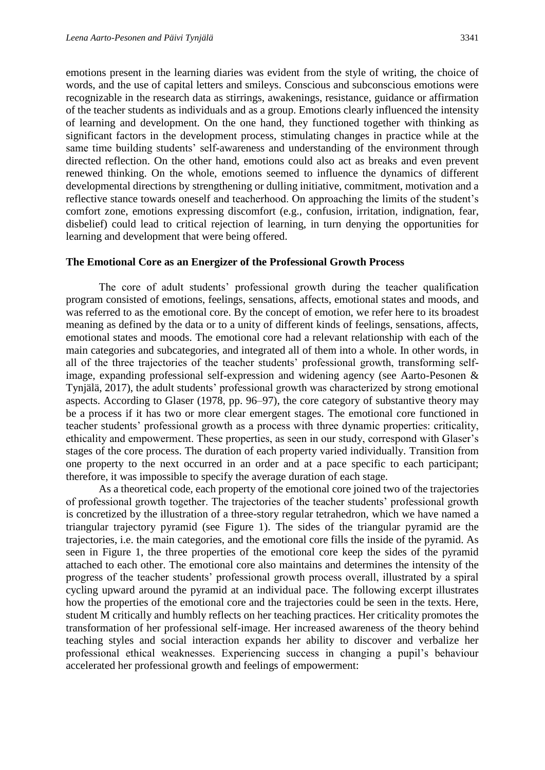emotions present in the learning diaries was evident from the style of writing, the choice of words, and the use of capital letters and smileys. Conscious and subconscious emotions were recognizable in the research data as stirrings, awakenings, resistance, guidance or affirmation of the teacher students as individuals and as a group. Emotions clearly influenced the intensity of learning and development. On the one hand, they functioned together with thinking as significant factors in the development process, stimulating changes in practice while at the same time building students' self-awareness and understanding of the environment through directed reflection. On the other hand, emotions could also act as breaks and even prevent renewed thinking. On the whole, emotions seemed to influence the dynamics of different developmental directions by strengthening or dulling initiative, commitment, motivation and a reflective stance towards oneself and teacherhood. On approaching the limits of the student's comfort zone, emotions expressing discomfort (e.g., confusion, irritation, indignation, fear, disbelief) could lead to critical rejection of learning, in turn denying the opportunities for learning and development that were being offered.

#### **The Emotional Core as an Energizer of the Professional Growth Process**

The core of adult students' professional growth during the teacher qualification program consisted of emotions, feelings, sensations, affects, emotional states and moods, and was referred to as the emotional core. By the concept of emotion, we refer here to its broadest meaning as defined by the data or to a unity of different kinds of feelings, sensations, affects, emotional states and moods. The emotional core had a relevant relationship with each of the main categories and subcategories, and integrated all of them into a whole. In other words, in all of the three trajectories of the teacher students' professional growth, transforming selfimage, expanding professional self-expression and widening agency (see Aarto-Pesonen & Tynjälä, 2017), the adult students' professional growth was characterized by strong emotional aspects. According to Glaser (1978, pp. 96–97), the core category of substantive theory may be a process if it has two or more clear emergent stages. The emotional core functioned in teacher students' professional growth as a process with three dynamic properties: criticality, ethicality and empowerment. These properties, as seen in our study, correspond with Glaser's stages of the core process. The duration of each property varied individually. Transition from one property to the next occurred in an order and at a pace specific to each participant; therefore, it was impossible to specify the average duration of each stage.

As a theoretical code, each property of the emotional core joined two of the trajectories of professional growth together. The trajectories of the teacher students' professional growth is concretized by the illustration of a three-story regular tetrahedron, which we have named a triangular trajectory pyramid (see Figure 1). The sides of the triangular pyramid are the trajectories, i.e. the main categories, and the emotional core fills the inside of the pyramid. As seen in Figure 1, the three properties of the emotional core keep the sides of the pyramid attached to each other. The emotional core also maintains and determines the intensity of the progress of the teacher students' professional growth process overall, illustrated by a spiral cycling upward around the pyramid at an individual pace. The following excerpt illustrates how the properties of the emotional core and the trajectories could be seen in the texts. Here, student M critically and humbly reflects on her teaching practices. Her criticality promotes the transformation of her professional self-image. Her increased awareness of the theory behind teaching styles and social interaction expands her ability to discover and verbalize her professional ethical weaknesses. Experiencing success in changing a pupil's behaviour accelerated her professional growth and feelings of empowerment: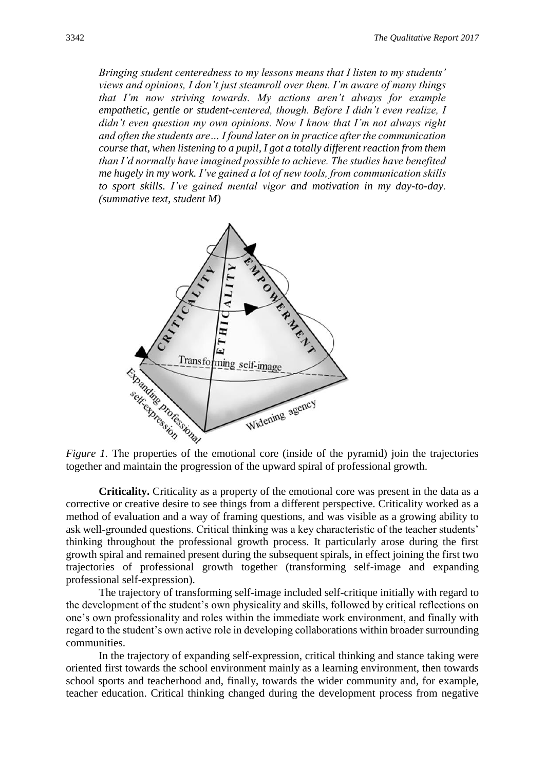*Bringing student centeredness to my lessons means that I listen to my students' views and opinions, I don't just steamroll over them. I'm aware of many things that I'm now striving towards. My actions aren't always for example empathetic, gentle or student-centered, though. Before I didn't even realize, I didn't even question my own opinions. Now I know that I'm not always right and often the students are… I found later on in practice after the communication course that, when listening to a pupil, I got a totally different reaction from them than I'd normally have imagined possible to achieve. The studies have benefited me hugely in my work. I've gained a lot of new tools, from communication skills to sport skills. I've gained mental vigor and motivation in my day-to-day. (summative text, student M)*



together and maintain the progression of the upward spiral of professional growth.

**Criticality.** Criticality as a property of the emotional core was present in the data as a corrective or creative desire to see things from a different perspective. Criticality worked as a method of evaluation and a way of framing questions, and was visible as a growing ability to ask well-grounded questions. Critical thinking was a key characteristic of the teacher students' thinking throughout the professional growth process. It particularly arose during the first growth spiral and remained present during the subsequent spirals, in effect joining the first two trajectories of professional growth together (transforming self-image and expanding professional self-expression).

The trajectory of transforming self-image included self-critique initially with regard to the development of the student's own physicality and skills, followed by critical reflections on one's own professionality and roles within the immediate work environment, and finally with regard to the student's own active role in developing collaborations within broader surrounding communities.

In the trajectory of expanding self-expression, critical thinking and stance taking were oriented first towards the school environment mainly as a learning environment, then towards school sports and teacherhood and, finally, towards the wider community and, for example, teacher education. Critical thinking changed during the development process from negative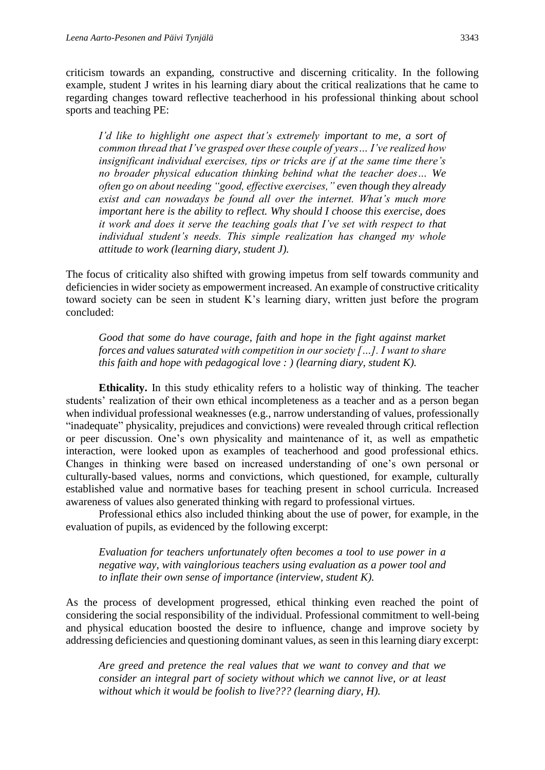criticism towards an expanding, constructive and discerning criticality. In the following example, student J writes in his learning diary about the critical realizations that he came to regarding changes toward reflective teacherhood in his professional thinking about school sports and teaching PE:

*I'd like to highlight one aspect that's extremely important to me, a sort of common thread that I've grasped over these couple of years… I've realized how insignificant individual exercises, tips or tricks are if at the same time there's no broader physical education thinking behind what the teacher does… We often go on about needing "good, effective exercises," even though they already exist and can nowadays be found all over the internet. What's much more important here is the ability to reflect. Why should I choose this exercise, does it work and does it serve the teaching goals that I've set with respect to that individual student's needs. This simple realization has changed my whole attitude to work (learning diary, student J).*

The focus of criticality also shifted with growing impetus from self towards community and deficiencies in wider society as empowerment increased. An example of constructive criticality toward society can be seen in student K's learning diary, written just before the program concluded:

*Good that some do have courage, faith and hope in the fight against market forces and values saturated with competition in our society […]. I want to share this faith and hope with pedagogical love : ) (learning diary, student K).*

**Ethicality.** In this study ethicality refers to a holistic way of thinking. The teacher students' realization of their own ethical incompleteness as a teacher and as a person began when individual professional weaknesses (e.g., narrow understanding of values, professionally "inadequate" physicality, prejudices and convictions) were revealed through critical reflection or peer discussion. One's own physicality and maintenance of it, as well as empathetic interaction, were looked upon as examples of teacherhood and good professional ethics. Changes in thinking were based on increased understanding of one's own personal or culturally-based values, norms and convictions, which questioned, for example, culturally established value and normative bases for teaching present in school curricula. Increased awareness of values also generated thinking with regard to professional virtues.

Professional ethics also included thinking about the use of power, for example, in the evaluation of pupils, as evidenced by the following excerpt:

*Evaluation for teachers unfortunately often becomes a tool to use power in a negative way, with vainglorious teachers using evaluation as a power tool and to inflate their own sense of importance (interview, student K).*

As the process of development progressed, ethical thinking even reached the point of considering the social responsibility of the individual. Professional commitment to well-being and physical education boosted the desire to influence, change and improve society by addressing deficiencies and questioning dominant values, as seen in this learning diary excerpt:

*Are greed and pretence the real values that we want to convey and that we consider an integral part of society without which we cannot live, or at least without which it would be foolish to live??? (learning diary, H).*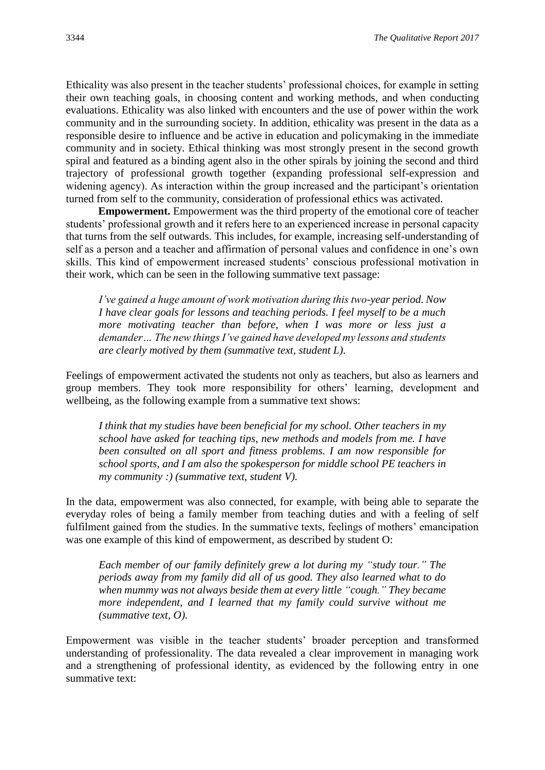Ethicality was also present in the teacher students' professional choices, for example in setting their own teaching goals, in choosing content and working methods, and when conducting evaluations. Ethicality was also linked with encounters and the use of power within the work community and in the surrounding society. In addition, ethicality was present in the data as a responsible desire to influence and be active in education and policymaking in the immediate community and in society. Ethical thinking was most strongly present in the second growth spiral and featured as a binding agent also in the other spirals by joining the second and third trajectory of professional growth together (expanding professional self-expression and widening agency). As interaction within the group increased and the participant's orientation turned from self to the community, consideration of professional ethics was activated.

**Empowerment.** Empowerment was the third property of the emotional core of teacher students' professional growth and it refers here to an experienced increase in personal capacity that turns from the self outwards. This includes, for example, increasing self-understanding of self as a person and a teacher and affirmation of personal values and confidence in one's own skills. This kind of empowerment increased students' conscious professional motivation in their work, which can be seen in the following summative text passage:

*I've gained a huge amount of work motivation during this two-year period. Now I have clear goals for lessons and teaching periods. I feel myself to be a much more motivating teacher than before, when I was more or less just a demander… The new things I've gained have developed my lessons and students are clearly motived by them (summative text, student L).*

Feelings of empowerment activated the students not only as teachers, but also as learners and group members. They took more responsibility for others' learning, development and wellbeing, as the following example from a summative text shows:

*I think that my studies have been beneficial for my school. Other teachers in my school have asked for teaching tips, new methods and models from me. I have been consulted on all sport and fitness problems. I am now responsible for school sports, and I am also the spokesperson for middle school PE teachers in my community :) (summative text, student V).*

In the data, empowerment was also connected, for example, with being able to separate the everyday roles of being a family member from teaching duties and with a feeling of self fulfilment gained from the studies. In the summative texts, feelings of mothers' emancipation was one example of this kind of empowerment, as described by student O:

*Each member of our family definitely grew a lot during my "study tour." The periods away from my family did all of us good. They also learned what to do when mummy was not always beside them at every little "cough." They became more independent, and I learned that my family could survive without me (summative text, O).*

Empowerment was visible in the teacher students' broader perception and transformed understanding of professionality. The data revealed a clear improvement in managing work and a strengthening of professional identity, as evidenced by the following entry in one summative text: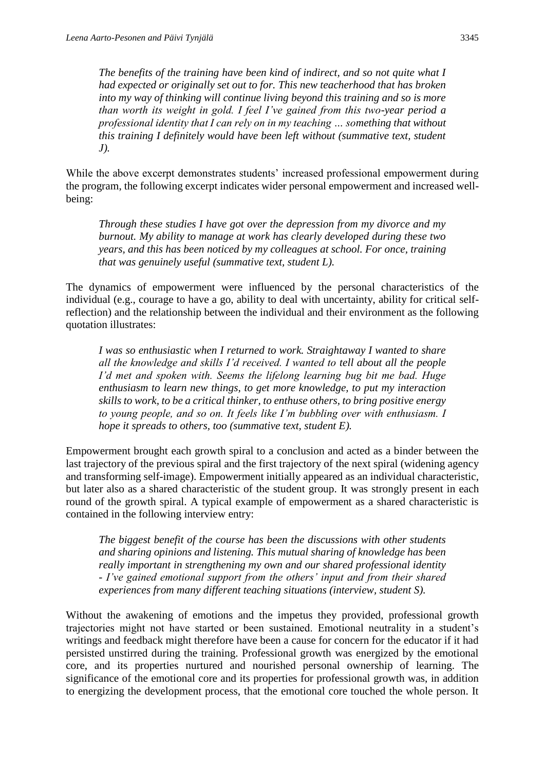*The benefits of the training have been kind of indirect, and so not quite what I had expected or originally set out to for. This new teacherhood that has broken into my way of thinking will continue living beyond this training and so is more than worth its weight in gold. I feel I've gained from this two-year period a professional identity that I can rely on in my teaching … something that without this training I definitely would have been left without (summative text, student J).*

While the above excerpt demonstrates students' increased professional empowerment during the program, the following excerpt indicates wider personal empowerment and increased wellbeing:

*Through these studies I have got over the depression from my divorce and my burnout. My ability to manage at work has clearly developed during these two years, and this has been noticed by my colleagues at school. For once, training that was genuinely useful (summative text, student L).*

The dynamics of empowerment were influenced by the personal characteristics of the individual (e.g., courage to have a go, ability to deal with uncertainty, ability for critical selfreflection) and the relationship between the individual and their environment as the following quotation illustrates:

*I was so enthusiastic when I returned to work. Straightaway I wanted to share all the knowledge and skills I'd received. I wanted to tell about all the people I'd met and spoken with. Seems the lifelong learning bug bit me bad. Huge enthusiasm to learn new things, to get more knowledge, to put my interaction skills to work, to be a critical thinker, to enthuse others, to bring positive energy to young people, and so on. It feels like I'm bubbling over with enthusiasm. I hope it spreads to others, too (summative text, student E).*

Empowerment brought each growth spiral to a conclusion and acted as a binder between the last trajectory of the previous spiral and the first trajectory of the next spiral (widening agency and transforming self-image). Empowerment initially appeared as an individual characteristic, but later also as a shared characteristic of the student group. It was strongly present in each round of the growth spiral. A typical example of empowerment as a shared characteristic is contained in the following interview entry:

*The biggest benefit of the course has been the discussions with other students and sharing opinions and listening. This mutual sharing of knowledge has been really important in strengthening my own and our shared professional identity - I've gained emotional support from the others' input and from their shared experiences from many different teaching situations (interview, student S).*

Without the awakening of emotions and the impetus they provided, professional growth trajectories might not have started or been sustained. Emotional neutrality in a student's writings and feedback might therefore have been a cause for concern for the educator if it had persisted unstirred during the training. Professional growth was energized by the emotional core, and its properties nurtured and nourished personal ownership of learning. The significance of the emotional core and its properties for professional growth was, in addition to energizing the development process, that the emotional core touched the whole person. It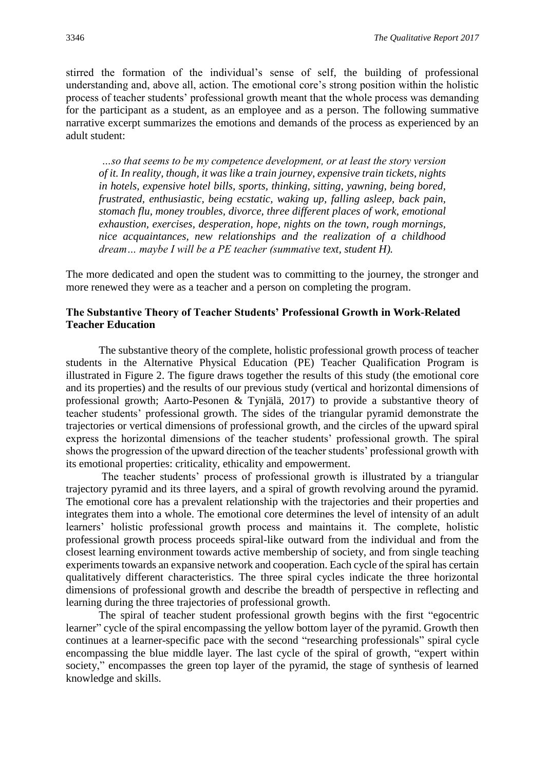stirred the formation of the individual's sense of self, the building of professional understanding and, above all, action. The emotional core's strong position within the holistic process of teacher students' professional growth meant that the whole process was demanding for the participant as a student, as an employee and as a person. The following summative narrative excerpt summarizes the emotions and demands of the process as experienced by an adult student:

*…so that seems to be my competence development, or at least the story version of it. In reality, though, it was like a train journey, expensive train tickets, nights in hotels, expensive hotel bills, sports, thinking, sitting, yawning, being bored, frustrated, enthusiastic, being ecstatic, waking up, falling asleep, back pain, stomach flu, money troubles, divorce, three different places of work, emotional exhaustion, exercises, desperation, hope, nights on the town, rough mornings, nice acquaintances, new relationships and the realization of a childhood dream… maybe I will be a PE teacher (summative text, student H).*

The more dedicated and open the student was to committing to the journey, the stronger and more renewed they were as a teacher and a person on completing the program.

#### **The Substantive Theory of Teacher Students' Professional Growth in Work-Related Teacher Education**

The substantive theory of the complete, holistic professional growth process of teacher students in the Alternative Physical Education (PE) Teacher Qualification Program is illustrated in Figure 2. The figure draws together the results of this study (the emotional core and its properties) and the results of our previous study (vertical and horizontal dimensions of professional growth; Aarto-Pesonen & Tynjälä, 2017) to provide a substantive theory of teacher students' professional growth. The sides of the triangular pyramid demonstrate the trajectories or vertical dimensions of professional growth, and the circles of the upward spiral express the horizontal dimensions of the teacher students' professional growth. The spiral shows the progression of the upward direction of the teacher students' professional growth with its emotional properties: criticality, ethicality and empowerment.

The teacher students' process of professional growth is illustrated by a triangular trajectory pyramid and its three layers, and a spiral of growth revolving around the pyramid. The emotional core has a prevalent relationship with the trajectories and their properties and integrates them into a whole. The emotional core determines the level of intensity of an adult learners' holistic professional growth process and maintains it. The complete, holistic professional growth process proceeds spiral-like outward from the individual and from the closest learning environment towards active membership of society, and from single teaching experiments towards an expansive network and cooperation. Each cycle of the spiral has certain qualitatively different characteristics. The three spiral cycles indicate the three horizontal dimensions of professional growth and describe the breadth of perspective in reflecting and learning during the three trajectories of professional growth.

The spiral of teacher student professional growth begins with the first "egocentric learner" cycle of the spiral encompassing the yellow bottom layer of the pyramid. Growth then continues at a learner-specific pace with the second "researching professionals" spiral cycle encompassing the blue middle layer. The last cycle of the spiral of growth, "expert within society," encompasses the green top layer of the pyramid, the stage of synthesis of learned knowledge and skills.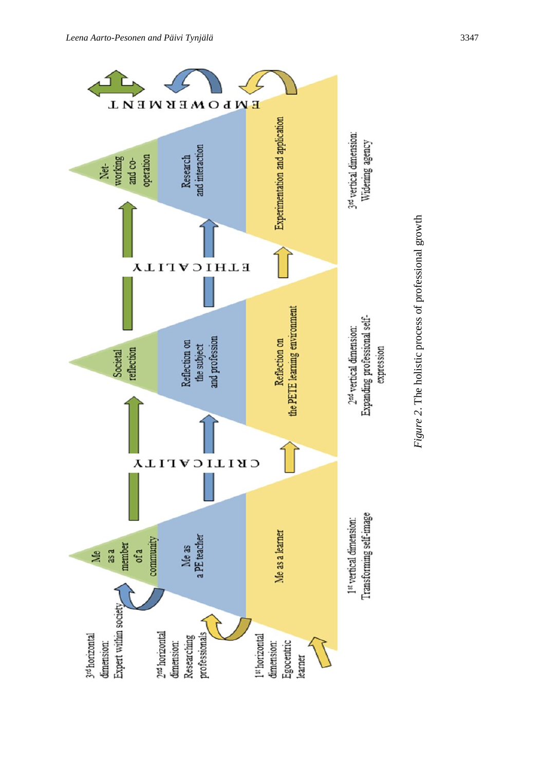

Figure 2. The holistic process of professional growth *Figure 2*. The holistic process of professional growth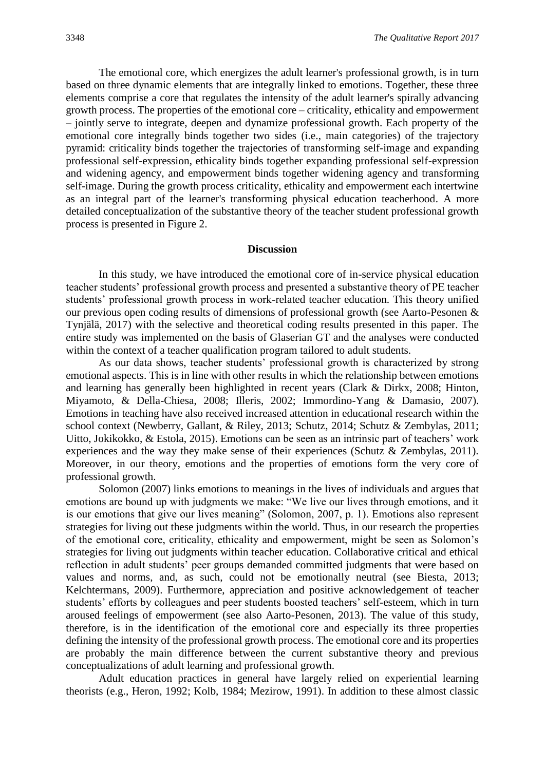The emotional core, which energizes the adult learner's professional growth, is in turn based on three dynamic elements that are integrally linked to emotions. Together, these three elements comprise a core that regulates the intensity of the adult learner's spirally advancing growth process. The properties of the emotional core – criticality, ethicality and empowerment – jointly serve to integrate, deepen and dynamize professional growth. Each property of the emotional core integrally binds together two sides (i.e., main categories) of the trajectory pyramid: criticality binds together the trajectories of transforming self-image and expanding professional self-expression, ethicality binds together expanding professional self-expression and widening agency, and empowerment binds together widening agency and transforming self-image. During the growth process criticality, ethicality and empowerment each intertwine as an integral part of the learner's transforming physical education teacherhood. A more detailed conceptualization of the substantive theory of the teacher student professional growth process is presented in Figure 2.

#### **Discussion**

In this study, we have introduced the emotional core of in-service physical education teacher students' professional growth process and presented a substantive theory of PE teacher students' professional growth process in work-related teacher education. This theory unified our previous open coding results of dimensions of professional growth (see Aarto-Pesonen & Tynjälä, 2017) with the selective and theoretical coding results presented in this paper. The entire study was implemented on the basis of Glaserian GT and the analyses were conducted within the context of a teacher qualification program tailored to adult students.

As our data shows, teacher students' professional growth is characterized by strong emotional aspects. This is in line with other results in which the relationship between emotions and learning has generally been highlighted in recent years (Clark & Dirkx, 2008; Hinton, Miyamoto, & Della-Chiesa, 2008; Illeris, 2002; Immordino-Yang & Damasio, 2007). Emotions in teaching have also received increased attention in educational research within the school context (Newberry, Gallant, & Riley, 2013; Schutz, 2014; Schutz & Zembylas, 2011; Uitto, Jokikokko, & Estola, 2015). Emotions can be seen as an intrinsic part of teachers' work experiences and the way they make sense of their experiences (Schutz & Zembylas, 2011). Moreover, in our theory, emotions and the properties of emotions form the very core of professional growth.

Solomon (2007) links emotions to meanings in the lives of individuals and argues that emotions are bound up with judgments we make: "We live our lives through emotions, and it is our emotions that give our lives meaning" (Solomon, 2007, p. 1). Emotions also represent strategies for living out these judgments within the world. Thus, in our research the properties of the emotional core, criticality, ethicality and empowerment, might be seen as Solomon's strategies for living out judgments within teacher education. Collaborative critical and ethical reflection in adult students' peer groups demanded committed judgments that were based on values and norms, and, as such, could not be emotionally neutral (see Biesta, 2013; Kelchtermans, 2009). Furthermore, appreciation and positive acknowledgement of teacher students' efforts by colleagues and peer students boosted teachers' self-esteem, which in turn aroused feelings of empowerment (see also Aarto-Pesonen, 2013). The value of this study, therefore, is in the identification of the emotional core and especially its three properties defining the intensity of the professional growth process. The emotional core and its properties are probably the main difference between the current substantive theory and previous conceptualizations of adult learning and professional growth.

Adult education practices in general have largely relied on experiential learning theorists (e.g., Heron, 1992; Kolb, 1984; Mezirow, 1991). In addition to these almost classic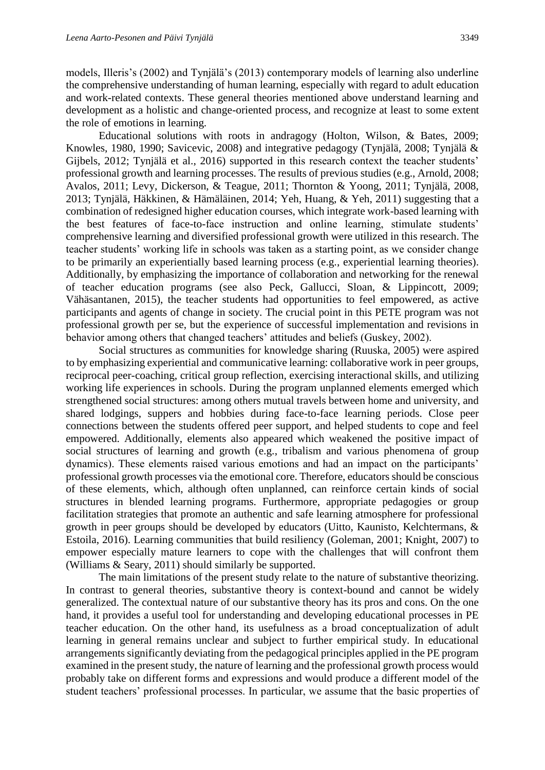models, Illeris's (2002) and Tynjälä's (2013) contemporary models of learning also underline the comprehensive understanding of human learning, especially with regard to adult education and work-related contexts. These general theories mentioned above understand learning and development as a holistic and change-oriented process, and recognize at least to some extent the role of emotions in learning.

Educational solutions with roots in andragogy (Holton, Wilson, & Bates, 2009; Knowles, 1980, 1990; Savicevic, 2008) and integrative pedagogy (Tynjälä, 2008; Tynjälä & Gijbels, 2012; Tynjälä et al., 2016) supported in this research context the teacher students' professional growth and learning processes. The results of previous studies (e.g., Arnold, 2008; Avalos, 2011; Levy, Dickerson, & Teague, 2011; Thornton & Yoong, 2011; Tynjälä, 2008, 2013; Tynjälä, Häkkinen, & Hämäläinen, 2014; Yeh, Huang, & Yeh, 2011) suggesting that a combination of redesigned higher education courses, which integrate work-based learning with the best features of face-to-face instruction and online learning, stimulate students' comprehensive learning and diversified professional growth were utilized in this research. The teacher students' working life in schools was taken as a starting point, as we consider change to be primarily an experientially based learning process (e.g., experiential learning theories). Additionally, by emphasizing the importance of collaboration and networking for the renewal of teacher education programs (see also Peck, Gallucci, Sloan, & Lippincott, 2009; Vähäsantanen, 2015), the teacher students had opportunities to feel empowered, as active participants and agents of change in society. The crucial point in this PETE program was not professional growth per se, but the experience of successful implementation and revisions in behavior among others that changed teachers' attitudes and beliefs (Guskey, 2002).

Social structures as communities for knowledge sharing (Ruuska, 2005) were aspired to by emphasizing experiential and communicative learning: collaborative work in peer groups, reciprocal peer-coaching, critical group reflection, exercising interactional skills, and utilizing working life experiences in schools. During the program unplanned elements emerged which strengthened social structures: among others mutual travels between home and university, and shared lodgings, suppers and hobbies during face-to-face learning periods. Close peer connections between the students offered peer support, and helped students to cope and feel empowered. Additionally, elements also appeared which weakened the positive impact of social structures of learning and growth (e.g., tribalism and various phenomena of group dynamics). These elements raised various emotions and had an impact on the participants' professional growth processes via the emotional core. Therefore, educators should be conscious of these elements, which, although often unplanned, can reinforce certain kinds of social structures in blended learning programs. Furthermore, appropriate pedagogies or group facilitation strategies that promote an authentic and safe learning atmosphere for professional growth in peer groups should be developed by educators (Uitto, Kaunisto, Kelchtermans, & Estoila, 2016). Learning communities that build resiliency (Goleman, 2001; Knight, 2007) to empower especially mature learners to cope with the challenges that will confront them (Williams & Seary, 2011) should similarly be supported.

The main limitations of the present study relate to the nature of substantive theorizing. In contrast to general theories, substantive theory is context-bound and cannot be widely generalized. The contextual nature of our substantive theory has its pros and cons. On the one hand, it provides a useful tool for understanding and developing educational processes in PE teacher education. On the other hand, its usefulness as a broad conceptualization of adult learning in general remains unclear and subject to further empirical study. In educational arrangements significantly deviating from the pedagogical principles applied in the PE program examined in the present study, the nature of learning and the professional growth process would probably take on different forms and expressions and would produce a different model of the student teachers' professional processes. In particular, we assume that the basic properties of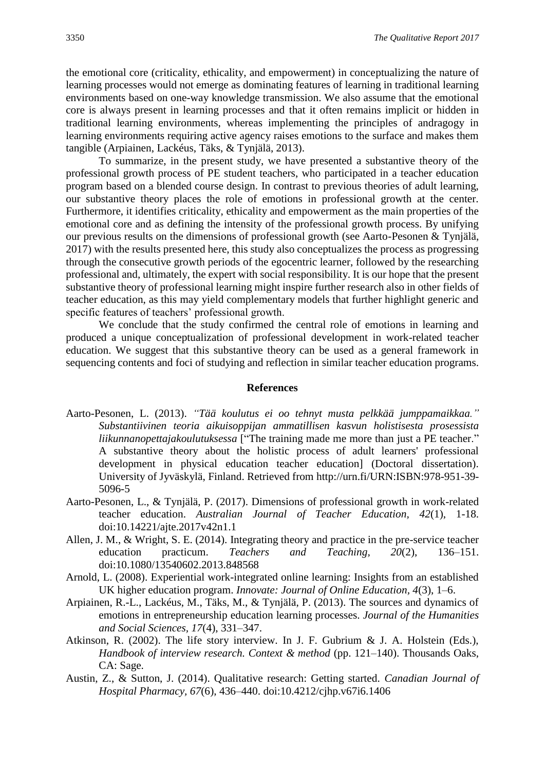the emotional core (criticality, ethicality, and empowerment) in conceptualizing the nature of learning processes would not emerge as dominating features of learning in traditional learning environments based on one-way knowledge transmission. We also assume that the emotional core is always present in learning processes and that it often remains implicit or hidden in traditional learning environments, whereas implementing the principles of andragogy in learning environments requiring active agency raises emotions to the surface and makes them tangible (Arpiainen, Lackéus, Täks, & Tynjälä, 2013).

To summarize, in the present study, we have presented a substantive theory of the professional growth process of PE student teachers, who participated in a teacher education program based on a blended course design. In contrast to previous theories of adult learning, our substantive theory places the role of emotions in professional growth at the center. Furthermore, it identifies criticality, ethicality and empowerment as the main properties of the emotional core and as defining the intensity of the professional growth process. By unifying our previous results on the dimensions of professional growth (see Aarto-Pesonen & Tynjälä, 2017) with the results presented here, this study also conceptualizes the process as progressing through the consecutive growth periods of the egocentric learner, followed by the researching professional and, ultimately, the expert with social responsibility. It is our hope that the present substantive theory of professional learning might inspire further research also in other fields of teacher education, as this may yield complementary models that further highlight generic and specific features of teachers' professional growth.

We conclude that the study confirmed the central role of emotions in learning and produced a unique conceptualization of professional development in work-related teacher education. We suggest that this substantive theory can be used as a general framework in sequencing contents and foci of studying and reflection in similar teacher education programs.

#### **References**

- Aarto-Pesonen, L. (2013). *"Tää koulutus ei oo tehnyt musta pelkkää jumppamaikkaa." Substantiivinen teoria aikuisoppijan ammatillisen kasvun holistisesta prosessista liikunnanopettajakoulutuksessa* ["The training made me more than just a PE teacher." A substantive theory about the holistic process of adult learners' professional development in physical education teacher education] (Doctoral dissertation). University of Jyväskylä, Finland. Retrieved from http://urn.fi/URN:ISBN:978-951-39- 5096-5
- Aarto-Pesonen, L., & Tynjälä, P. (2017). Dimensions of professional growth in work-related teacher education. *Australian Journal of Teacher Education, 42*(1), 1-18. doi:10.14221/ajte.2017v42n1.1
- Allen, J. M., & Wright, S. E. (2014). Integrating theory and practice in the pre-service teacher education practicum. *Teachers and Teaching, 20*(2), 136–151. doi:10.1080/13540602.2013.848568
- Arnold, L. (2008). Experiential work-integrated online learning: Insights from an established UK higher education program. *Innovate: Journal of Online Education, 4*(3), 1–6.
- Arpiainen, R.-L., Lackéus, M., Täks, M., & Tynjälä, P. (2013). The sources and dynamics of emotions in entrepreneurship education learning processes. *Journal of the Humanities and Social Sciences, 17*(4), 331–347.
- Atkinson, R. (2002). The life story interview. In J. F. Gubrium & J. A. Holstein (Eds.), *Handbook of interview research. Context & method (pp. 121–140). Thousands Oaks,* CA: Sage.
- Austin, Z., & Sutton, J. (2014). Qualitative research: Getting started. *Canadian Journal of Hospital Pharmacy, 67*(6), 436–440. doi:10.4212/cjhp.v67i6.1406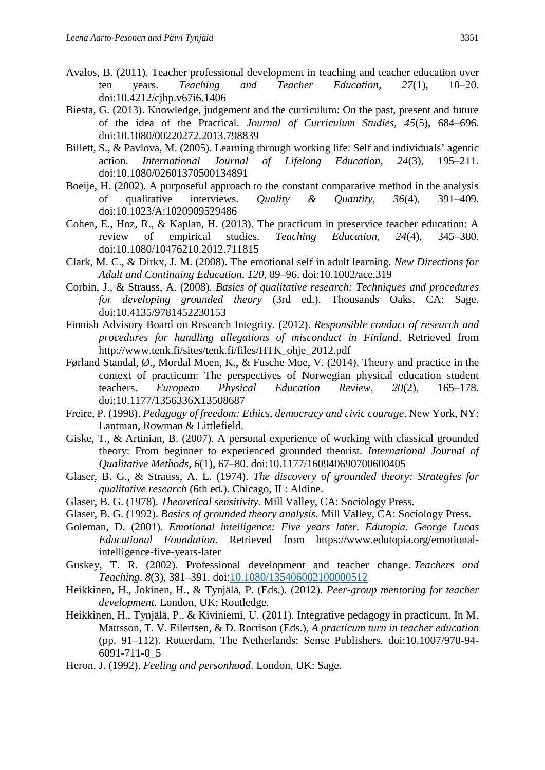- Avalos, B. (2011). Teacher professional development in teaching and teacher education over ten years. *Teaching and Teacher Education, 27*(1), 10–20. doi:10.4212/cjhp.v67i6.1406
- Biesta, G. (2013). Knowledge, judgement and the curriculum: On the past, present and future of the idea of the Practical. *Journal of Curriculum Studies, 45*(5), 684–696. doi:10.1080/00220272.2013.798839
- Billett, S., & Pavlova, M. (2005). Learning through working life: Self and individuals' agentic action. *International Journal of Lifelong Education, 24*(3), 195–211. doi:10.1080/02601370500134891
- Boeije, H. (2002). A purposeful approach to the constant comparative method in the analysis of qualitative interviews. *Quality & Quantity, 36*(4), 391–409. doi[:10.1023/A:1020909529486](http://dx.doi.org/10.1023/A:1020909529486)
- Cohen, E., Hoz, R., & Kaplan, H. (2013). The practicum in preservice teacher education: A review of empirical studies. *Teaching Education, 24*(4), 345–380. doi:10.1080/10476210.2012.711815
- Clark, M. C., & Dirkx, J. M. (2008). The emotional self in adult learning. *New Directions for Adult and Continuing Education, 120*, 89–96. doi:10.1002/ace.319
- Corbin, J., & Strauss, A. (2008). *Basics of qualitative research: Techniques and procedures for developing grounded theory* (3rd ed.). Thousands Oaks, CA: Sage. doi:10.4135/9781452230153
- Finnish Advisory Board on Research Integrity. (2012). *Responsible conduct of research and procedures for handling allegations of misconduct in Finland*. Retrieved from http://www.tenk.fi/sites/tenk.fi/files/HTK\_ohje\_2012.pdf
- Førland Standal, Ø., Mordal Moen, K., & Fusche Moe, V. (2014). Theory and practice in the context of practicum: The perspectives of Norwegian physical education student teachers. *European Physical Education Review, 20*(2), 165–178. doi:10.1177/1356336X13508687
- Freire, P. (1998). *Pedagogy of freedom: Ethics, democracy and civic courage*. New York, NY: Lantman, Rowman & Littlefield.
- Giske, T., & Artinian, B. (2007). A personal experience of working with classical grounded theory: From beginner to experienced grounded theorist. *International Journal of Qualitative Methods, 6*(1), 67–80. [doi:10.1177/160940690700600405](https://doi.org/10.1177/160940690700600405)
- Glaser, B. G., & Strauss, A. L. (1974). *The discovery of grounded theory: Strategies for qualitative research* (6th ed.). Chicago, IL: Aldine.
- Glaser, B. G. (1978). *Theoretical sensitivity*. Mill Valley, CA: Sociology Press.
- Glaser, B. G. (1992). *Basics of grounded theory analysis*. Mill Valley, CA: Sociology Press.
- Goleman, D. (2001). *Emotional intelligence: Five years later. Edutopia. George Lucas Educational Foundation.* Retrieved from https://www.edutopia.org/emotionalintelligence-five-years-later
- Guskey, T. R. (2002). Professional development and teacher change. *Teachers and Teaching, 8*(3), 381–391. doi[:10.1080/135406002100000512](https://doi.org/10.1080/135406002100000512)
- Heikkinen, H., Jokinen, H., & Tynjälä, P. (Eds.). (2012). *Peer-group mentoring for teacher development*. London, UK: Routledge.
- Heikkinen, H., Tynjälä, P., & Kiviniemi, U. (2011). Integrative pedagogy in practicum. In M. Mattsson, T. V. Eilertsen, & D. Rorrison (Eds.), *A practicum turn in teacher education* (pp. 91–112). Rotterdam, The Netherlands: Sense Publishers. doi:10.1007/978-94- 6091-711-0\_5
- Heron, J. (1992). *Feeling and personhood*. London, UK: Sage.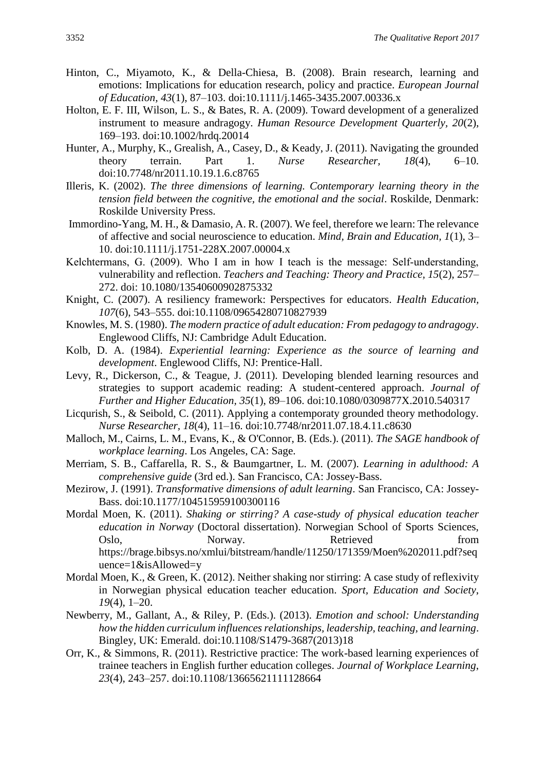- Hinton, C., Miyamoto, K., & Della-Chiesa, B. (2008). Brain research, learning and emotions: Implications for education research, policy and practice. *European Journal of Education, 43*(1), 87–103. doi:10.1111/j.1465-3435.2007.00336.x
- Holton, E. F. III, Wilson, L. S., & Bates, R. A. (2009). Toward development of a generalized instrument to measure andragogy. *Human Resource Development Quarterly, 20*(2), 169–193. doi:10.1002/hrdq.20014
- Hunter, A., Murphy, K., Grealish, A., Casey, D., & Keady, J. (2011). Navigating the grounded theory terrain. Part 1. *Nurse Researcher, 18*(4), 6–10. doi:10.7748/nr2011.10.19.1.6.c8765
- Illeris, K. (2002). *The three dimensions of learning. Contemporary learning theory in the tension field between the cognitive, the emotional and the social*. Roskilde, Denmark: Roskilde University Press.
- Immordino-Yang, M. H., & Damasio, A. R. (2007). We feel, therefore we learn: The relevance of affective and social neuroscience to education. *Mind, Brain and Education, 1*(1), 3– 10. doi:10.1111/j.1751-228X.2007.00004.x
- Kelchtermans, G. (2009). Who I am in how I teach is the message: Self-understanding, vulnerability and reflection. *Teachers and Teaching: Theory and Practice, 15*(2), 257– 272. doi: 10.1080/13540600902875332
- Knight, C. (2007). A resiliency framework: Perspectives for educators. *Health Education, 107*(6), 543–555. doi:10.1108/09654280710827939
- Knowles, M. S. (1980). *The modern practice of adult education: From pedagogy to andragogy*. Englewood Cliffs, NJ: Cambridge Adult Education.
- Kolb, D. A. (1984). *Experiential learning: Experience as the source of learning and development*. Englewood Cliffs, NJ: Prentice-Hall.
- Levy, R., Dickerson, C., & Teague, J. (2011). Developing blended learning resources and strategies to support academic reading: A student-centered approach. *Journal of Further and Higher Education, 35*(1), 89–106. doi:10.1080/0309877X.2010.540317
- Licqurish, S., & Seibold, C. (2011). Applying a contemporaty grounded theory methodology. *Nurse Researcher, 18*(4), 11–16. doi:10.7748/nr2011.07.18.4.11.c8630
- Malloch, M., Cairns, L. M., Evans, K., & O'Connor, B. (Eds.). (2011). *The SAGE handbook of workplace learning*. Los Angeles, CA: Sage.
- Merriam, S. B., Caffarella, R. S., & Baumgartner, L. M. (2007)*. Learning in adulthood: A comprehensive guide* (3rd ed.). San Francisco, CA: Jossey-Bass.
- Mezirow, J. (1991). *Transformative dimensions of adult learning*. San Francisco, CA: Jossey-Bass. [doi:10.1177/104515959100300116](http://dx.doi.org/10.1177/104515959100300116)
- Mordal Moen, K. (2011). *Shaking or stirring? A case-study of physical education teacher education in Norway* (Doctoral dissertation). Norwegian School of Sports Sciences, Oslo, Norway. Retrieved from https://brage.bibsys.no/xmlui/bitstream/handle/11250/171359/Moen%202011.pdf?seq uence=1&isAllowed=y
- Mordal Moen, K., & Green, K. (2012). Neither shaking nor stirring: A case study of reflexivity in Norwegian physical education teacher education. *Sport, Education and Society*, *19*(4), 1–20.
- Newberry, M., Gallant, A., & Riley, P. (Eds.). (2013). *Emotion and school: Understanding how the hidden curriculum influences relationships, leadership, teaching, and learning*. Bingley, UK: Emerald. doi:10.1108/S1479-3687(2013)18
- Orr, K., & Simmons, R. (2011). Restrictive practice: The work-based learning experiences of trainee teachers in English further education colleges. *Journal of Workplace Learning*, *23*(4), 243–257. doi:10.1108/13665621111128664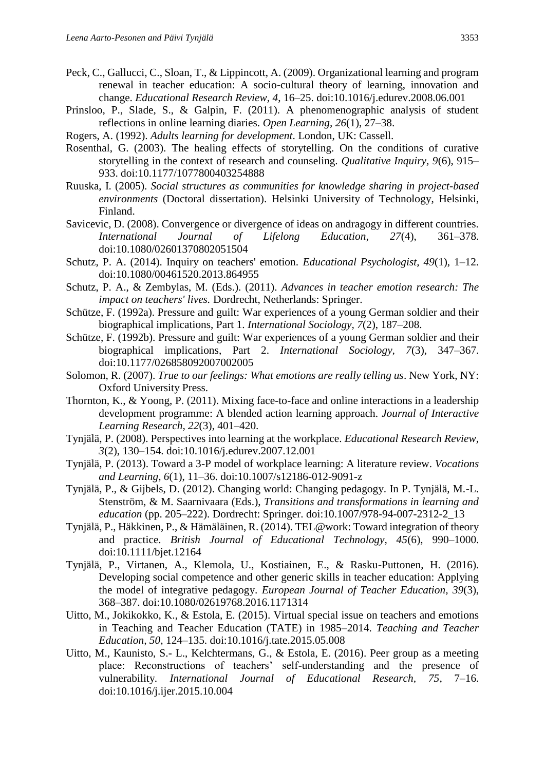- Peck, C., Gallucci, C., Sloan, T., & Lippincott, A. (2009). Organizational learning and program renewal in teacher education: A socio-cultural theory of learning, innovation and change. *Educational Research Review, 4*, 16–25. doi:10.1016/j.edurev.2008.06.001
- Prinsloo, P., Slade, S., & Galpin, F. (2011). A phenomenographic analysis of student reflections in online learning diaries. *Open Learning, 26*(1), 27–38.
- Rogers, A. (1992). *Adults learning for development*. London, UK: Cassell.
- Rosenthal, G. (2003). The healing effects of storytelling. On the conditions of curative storytelling in the context of research and counseling. *Qualitative Inquiry, 9*(6), 915– 933. doi:10.1177/1077800403254888
- Ruuska, I. (2005). *Social structures as communities for knowledge sharing in project-based environments* (Doctoral dissertation). Helsinki University of Technology, Helsinki, Finland.
- Savicevic, D. (2008). Convergence or divergence of ideas on andragogy in different countries. *International Journal of Lifelong Education, 27*(4), 361–378. doi:10.1080/02601370802051504
- Schutz, P. A. (2014). Inquiry on teachers' emotion. *Educational Psychologist, 49*(1), 1–12. doi:10.1080/00461520.2013.864955
- Schutz, P. A., & Zembylas, M. (Eds.). (2011). *Advances in teacher emotion research: The impact on teachers' lives.* Dordrecht, Netherlands: Springer.
- Schütze, F. (1992a). Pressure and guilt: War experiences of a young German soldier and their biographical implications, Part 1. *International Sociology, 7*(2), 187–208.
- Schütze, F. (1992b). Pressure and guilt: War experiences of a young German soldier and their biographical implications, Part 2. *International Sociology, 7*(3), 347–367. doi:10.1177/026858092007002005
- Solomon, R. (2007). *True to our feelings: What emotions are really telling us*. New York, NY: Oxford University Press.
- Thornton, K., & Yoong, P. (2011). Mixing face-to-face and online interactions in a leadership development programme: A blended action learning approach. *Journal of Interactive Learning Research, 22*(3), 401–420.
- Tynjälä, P. (2008). Perspectives into learning at the workplace. *Educational Research Review, 3*(2), 130–154. doi:10.1016/j.edurev.2007.12.001
- Tynjälä, P. (2013). Toward a 3-P model of workplace learning: A literature review. *Vocations and Learning, 6*(1), 11–36. doi:10.1007/s12186-012-9091-z
- Tynjälä, P., & Gijbels, D. (2012). Changing world: Changing pedagogy. In P. Tynjälä, M.-L. Stenström, & M. Saarnivaara (Eds.), *Transitions and transformations in learning and education* (pp. 205–222). Dordrecht: Springer. doi:10.1007/978-94-007-2312-2\_13
- Tynjälä, P., Häkkinen, P., & Hämäläinen, R. (2014). TEL@work: Toward integration of theory and practice. *British Journal of Educational Technology, 45*(6), 990–1000. doi:10.1111/bjet.12164
- Tynjälä, P., Virtanen, A., Klemola, U., Kostiainen, E., & Rasku-Puttonen, H. (2016). Developing social competence and other generic skills in teacher education: Applying the model of integrative pedagogy. *European Journal of Teacher Education, 39*(3), 368–387. doi:10.1080/02619768.2016.1171314
- Uitto, M., Jokikokko, K., & Estola, E. (2015). Virtual special issue on teachers and emotions in Teaching and Teacher Education (TATE) in 1985–2014. *Teaching and Teacher Education, 50*, 124–135. doi:10.1016/j.tate.2015.05.008
- Uitto, M., Kaunisto, S.- L., Kelchtermans, G., & Estola, E. (2016). Peer group as a meeting place: Reconstructions of teachers' self-understanding and the presence of vulnerability*. International Journal of Educational Research, 75*, 7–16. doi:10.1016/j.ijer.2015.10.004